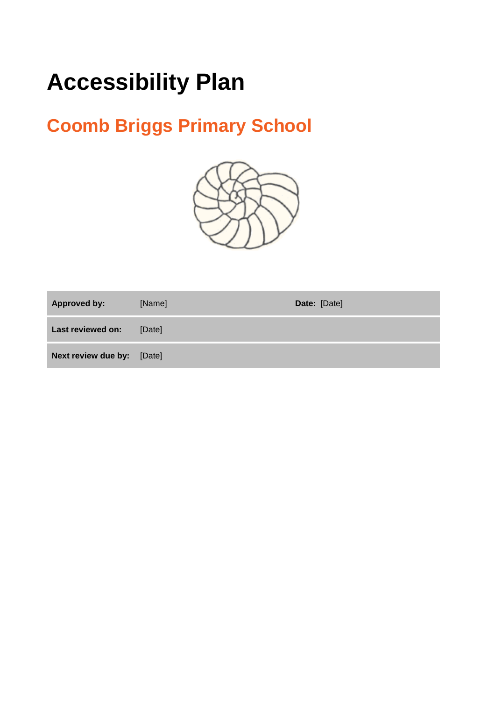# **Accessibility Plan**

# **Coomb Briggs Primary School**



| <b>Approved by:</b>        | [Name] | Date: [Date] |
|----------------------------|--------|--------------|
| Last reviewed on:          | [Date] |              |
| Next review due by: [Date] |        |              |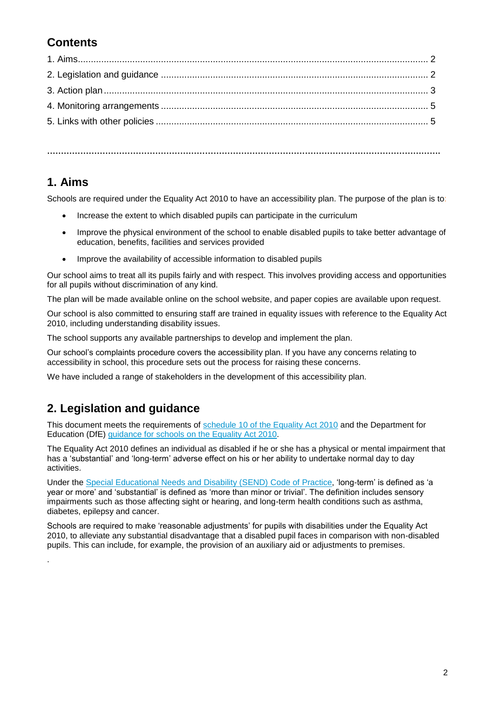### **Contents**

**…………………………………………………………………………………………………………………………….**

#### **1. Aims**

.

Schools are required under the Equality Act 2010 to have an accessibility plan. The purpose of the plan is to:

- Increase the extent to which disabled pupils can participate in the curriculum
- Improve the physical environment of the school to enable disabled pupils to take better advantage of education, benefits, facilities and services provided
- Improve the availability of accessible information to disabled pupils

Our school aims to treat all its pupils fairly and with respect. This involves providing access and opportunities for all pupils without discrimination of any kind.

The plan will be made available online on the school website, and paper copies are available upon request.

Our school is also committed to ensuring staff are trained in equality issues with reference to the Equality Act 2010, including understanding disability issues.

The school supports any available partnerships to develop and implement the plan.

Our school's complaints procedure covers the accessibility plan. If you have any concerns relating to accessibility in school, this procedure sets out the process for raising these concerns.

We have included a range of stakeholders in the development of this accessibility plan.

## **2. Legislation and guidance**

This document meets the requirements of [schedule 10 of the Equality Act 2010](http://www.legislation.gov.uk/ukpga/2010/15/schedule/10) and the Department for Education (DfE) [guidance for schools on the Equality Act 2010.](https://www.gov.uk/government/publications/equality-act-2010-advice-for-schools)

The Equality Act 2010 defines an individual as disabled if he or she has a physical or mental impairment that has a 'substantial' and 'long-term' adverse effect on his or her ability to undertake normal day to day activities.

Under the [Special Educational Needs and Disability \(SEND\) Code of Practice,](https://www.gov.uk/government/publications/send-code-of-practice-0-to-25) 'long-term' is defined as 'a year or more' and 'substantial' is defined as 'more than minor or trivial'. The definition includes sensory impairments such as those affecting sight or hearing, and long-term health conditions such as asthma, diabetes, epilepsy and cancer.

Schools are required to make 'reasonable adjustments' for pupils with disabilities under the Equality Act 2010, to alleviate any substantial disadvantage that a disabled pupil faces in comparison with non-disabled pupils. This can include, for example, the provision of an auxiliary aid or adjustments to premises.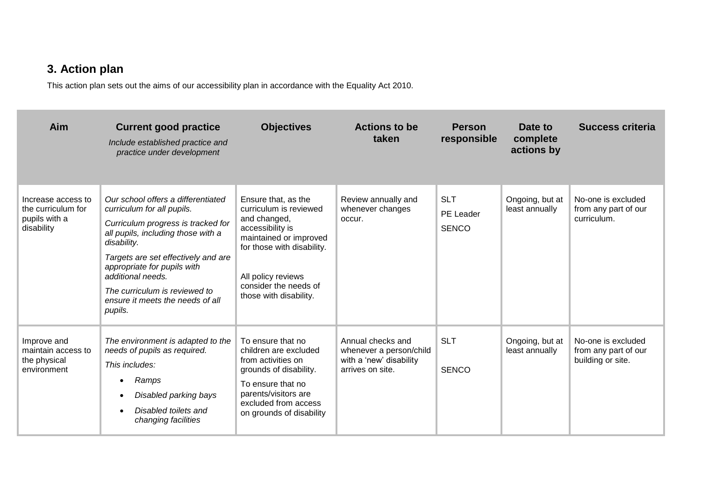# **3. Action plan**

This action plan sets out the aims of our accessibility plan in accordance with the Equality Act 2010.

| Aim                                                                     | <b>Current good practice</b><br>Include established practice and<br>practice under development                                                                                                                                                                                                                                         | <b>Objectives</b>                                                                                                                                                                                                  | <b>Actions to be</b><br>taken                                                               | <b>Person</b><br>responsible            | Date to<br>complete<br>actions by | <b>Success criteria</b>                                         |
|-------------------------------------------------------------------------|----------------------------------------------------------------------------------------------------------------------------------------------------------------------------------------------------------------------------------------------------------------------------------------------------------------------------------------|--------------------------------------------------------------------------------------------------------------------------------------------------------------------------------------------------------------------|---------------------------------------------------------------------------------------------|-----------------------------------------|-----------------------------------|-----------------------------------------------------------------|
| Increase access to<br>the curriculum for<br>pupils with a<br>disability | Our school offers a differentiated<br>curriculum for all pupils.<br>Curriculum progress is tracked for<br>all pupils, including those with a<br>disability.<br>Targets are set effectively and are<br>appropriate for pupils with<br>additional needs.<br>The curriculum is reviewed to<br>ensure it meets the needs of all<br>pupils. | Ensure that, as the<br>curriculum is reviewed<br>and changed,<br>accessibility is<br>maintained or improved<br>for those with disability.<br>All policy reviews<br>consider the needs of<br>those with disability. | Review annually and<br>whenever changes<br>occur.                                           | <b>SLT</b><br>PE Leader<br><b>SENCO</b> | Ongoing, but at<br>least annually | No-one is excluded<br>from any part of our<br>curriculum.       |
| Improve and<br>maintain access to<br>the physical<br>environment        | The environment is adapted to the<br>needs of pupils as required.<br>This includes:<br>Ramps<br>$\bullet$<br>Disabled parking bays<br>Disabled toilets and<br>changing facilities                                                                                                                                                      | To ensure that no<br>children are excluded<br>from activities on<br>grounds of disability.<br>To ensure that no<br>parents/visitors are<br>excluded from access<br>on grounds of disability                        | Annual checks and<br>whenever a person/child<br>with a 'new' disability<br>arrives on site. | <b>SLT</b><br><b>SENCO</b>              | Ongoing, but at<br>least annually | No-one is excluded<br>from any part of our<br>building or site. |